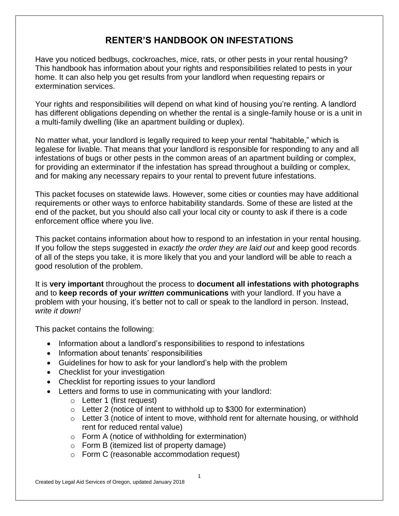## **RENTER'S HANDBOOK ON INFESTATIONS**

Have you noticed bedbugs, cockroaches, mice, rats, or other pests in your rental housing? This handbook has information about your rights and responsibilities related to pests in your home. It can also help you get results from your landlord when requesting repairs or extermination services.

Your rights and responsibilities will depend on what kind of housing you're renting. A landlord has different obligations depending on whether the rental is a single-family house or is a unit in a multi-family dwelling (like an apartment building or duplex).

No matter what, your landlord is legally required to keep your rental "habitable," which is legalese for livable. That means that your landlord is responsible for responding to any and all infestations of bugs or other pests in the common areas of an apartment building or complex, for providing an exterminator if the infestation has spread throughout a building or complex, and for making any necessary repairs to your rental to prevent future infestations.

This packet focuses on statewide laws. However, some cities or counties may have additional requirements or other ways to enforce habitability standards. Some of these are listed at the end of the packet, but you should also call your local city or county to ask if there is a code enforcement office where you live.

This packet contains information about how to respond to an infestation in your rental housing. If you follow the steps suggested in *exactly the order they are laid out* and keep good records of all of the steps you take, it is more likely that you and your landlord will be able to reach a good resolution of the problem.

It is **very important** throughout the process to **document all infestations with photographs** and to **keep records of your** *written* **communications** with your landlord. If you have a problem with your housing, it's better not to call or speak to the landlord in person. Instead, *write it down!*

This packet contains the following:

- Information about a landlord's responsibilities to respond to infestations
- Information about tenants' responsibilities
- Guidelines for how to ask for your landlord's help with the problem
- Checklist for your investigation
- Checklist for reporting issues to your landlord
- Letters and forms to use in communicating with your landlord:
	- o Letter 1 (first request)
	- $\circ$  Letter 2 (notice of intent to withhold up to \$300 for extermination)
	- $\circ$  Letter 3 (notice of intent to move, withhold rent for alternate housing, or withhold rent for reduced rental value)
	- o Form A (notice of withholding for extermination)
	- o Form B (itemized list of property damage)
	- o Form C (reasonable accommodation request)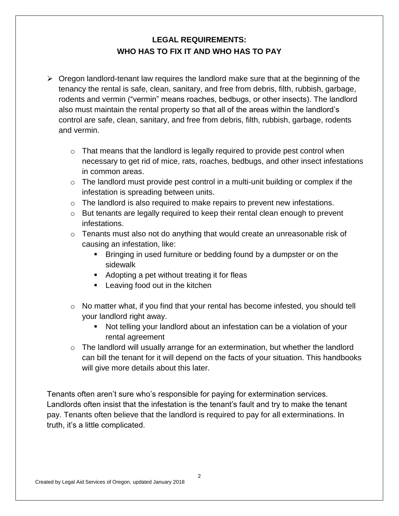### **LEGAL REQUIREMENTS: WHO HAS TO FIX IT AND WHO HAS TO PAY**

- $\triangleright$  Oregon landlord-tenant law requires the landlord make sure that at the beginning of the tenancy the rental is safe, clean, sanitary, and free from debris, filth, rubbish, garbage, rodents and vermin ("vermin" means roaches, bedbugs, or other insects). The landlord also must maintain the rental property so that all of the areas within the landlord's control are safe, clean, sanitary, and free from debris, filth, rubbish, garbage, rodents and vermin.
	- $\circ$  That means that the landlord is legally required to provide pest control when necessary to get rid of mice, rats, roaches, bedbugs, and other insect infestations in common areas.
	- $\circ$  The landlord must provide pest control in a multi-unit building or complex if the infestation is spreading between units.
	- $\circ$  The landlord is also required to make repairs to prevent new infestations.
	- $\circ$  But tenants are legally required to keep their rental clean enough to prevent infestations.
	- $\circ$  Tenants must also not do anything that would create an unreasonable risk of causing an infestation, like:
		- **Bringing in used furniture or bedding found by a dumpster or on the** sidewalk
		- Adopting a pet without treating it for fleas
		- **Leaving food out in the kitchen**
	- $\circ$  No matter what, if you find that your rental has become infested, you should tell your landlord right away.
		- Not telling your landlord about an infestation can be a violation of your rental agreement
	- $\circ$  The landlord will usually arrange for an extermination, but whether the landlord can bill the tenant for it will depend on the facts of your situation. This handbooks will give more details about this later.

Tenants often aren't sure who's responsible for paying for extermination services. Landlords often insist that the infestation is the tenant's fault and try to make the tenant pay. Tenants often believe that the landlord is required to pay for all exterminations. In truth, it's a little complicated.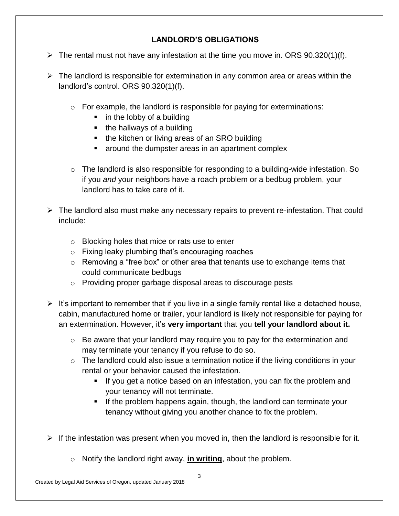### **LANDLORD'S OBLIGATIONS**

- $\triangleright$  The rental must not have any infestation at the time you move in. ORS 90.320(1)(f).
- $\triangleright$  The landlord is responsible for extermination in any common area or areas within the landlord's control. ORS 90.320(1)(f).
	- o For example, the landlord is responsible for paying for exterminations:
		- **i** in the lobby of a building
		- $\blacksquare$  the hallways of a building
		- $\blacksquare$  the kitchen or living areas of an SRO building
		- **EXEDENT** around the dumpster areas in an apartment complex
	- o The landlord is also responsible for responding to a building-wide infestation. So if you *and* your neighbors have a roach problem or a bedbug problem, your landlord has to take care of it.
- $\triangleright$  The landlord also must make any necessary repairs to prevent re-infestation. That could include:
	- o Blocking holes that mice or rats use to enter
	- o Fixing leaky plumbing that's encouraging roaches
	- o Removing a "free box" or other area that tenants use to exchange items that could communicate bedbugs
	- o Providing proper garbage disposal areas to discourage pests
- $\triangleright$  It's important to remember that if you live in a single family rental like a detached house, cabin, manufactured home or trailer, your landlord is likely not responsible for paying for an extermination. However, it's **very important** that you **tell your landlord about it.**
	- o Be aware that your landlord may require you to pay for the extermination and may terminate your tenancy if you refuse to do so.
	- $\circ$  The landlord could also issue a termination notice if the living conditions in your rental or your behavior caused the infestation.
		- If you get a notice based on an infestation, you can fix the problem and your tenancy will not terminate.
		- If the problem happens again, though, the landlord can terminate your tenancy without giving you another chance to fix the problem.
- $\triangleright$  If the infestation was present when you moved in, then the landlord is responsible for it.
	- o Notify the landlord right away, **in writing**, about the problem.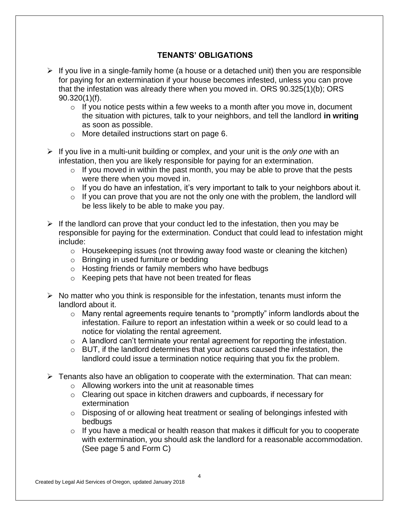#### **TENANTS' OBLIGATIONS**

- $\triangleright$  If you live in a single-family home (a house or a detached unit) then you are responsible for paying for an extermination if your house becomes infested, unless you can prove that the infestation was already there when you moved in. ORS 90.325(1)(b); ORS 90.320(1)(f).
	- $\circ$  If you notice pests within a few weeks to a month after you move in, document the situation with pictures, talk to your neighbors, and tell the landlord **in writing** as soon as possible.
	- o More detailed instructions start on page 6.
- If you live in a multi-unit building or complex, and your unit is the *only one* with an infestation, then you are likely responsible for paying for an extermination.
	- $\circ$  If you moved in within the past month, you may be able to prove that the pests were there when you moved in.
	- $\circ$  If you do have an infestation, it's very important to talk to your neighbors about it.
	- $\circ$  If you can prove that you are not the only one with the problem, the landlord will be less likely to be able to make you pay.
- $\triangleright$  If the landlord can prove that your conduct led to the infestation, then you may be responsible for paying for the extermination. Conduct that could lead to infestation might include:
	- o Housekeeping issues (not throwing away food waste or cleaning the kitchen)
	- o Bringing in used furniture or bedding
	- o Hosting friends or family members who have bedbugs
	- o Keeping pets that have not been treated for fleas
- $\triangleright$  No matter who you think is responsible for the infestation, tenants must inform the landlord about it.
	- o Many rental agreements require tenants to "promptly" inform landlords about the infestation. Failure to report an infestation within a week or so could lead to a notice for violating the rental agreement.
	- o A landlord can't terminate your rental agreement for reporting the infestation.
	- $\circ$  BUT, if the landlord determines that your actions caused the infestation, the landlord could issue a termination notice requiring that you fix the problem.
- $\triangleright$  Tenants also have an obligation to cooperate with the extermination. That can mean:
	- o Allowing workers into the unit at reasonable times
	- o Clearing out space in kitchen drawers and cupboards, if necessary for extermination
	- $\circ$  Disposing of or allowing heat treatment or sealing of belongings infested with bedbugs
	- $\circ$  If you have a medical or health reason that makes it difficult for you to cooperate with extermination, you should ask the landlord for a reasonable accommodation. (See page 5 and Form C)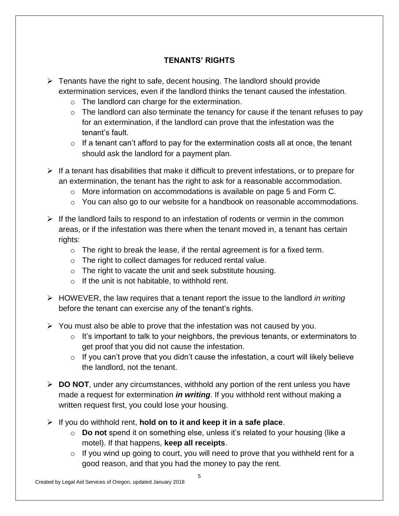#### **TENANTS' RIGHTS**

- $\triangleright$  Tenants have the right to safe, decent housing. The landlord should provide extermination services, even if the landlord thinks the tenant caused the infestation.
	- $\circ$  The landlord can charge for the extermination.
	- $\circ$  The landlord can also terminate the tenancy for cause if the tenant refuses to pay for an extermination, if the landlord can prove that the infestation was the tenant's fault.
	- $\circ$  If a tenant can't afford to pay for the extermination costs all at once, the tenant should ask the landlord for a payment plan.
- $\triangleright$  If a tenant has disabilities that make it difficult to prevent infestations, or to prepare for an extermination, the tenant has the right to ask for a reasonable accommodation.
	- $\circ$  More information on accommodations is available on page 5 and Form C.
	- $\circ$  You can also go to our website for a handbook on reasonable accommodations.
- $\triangleright$  If the landlord fails to respond to an infestation of rodents or vermin in the common areas, or if the infestation was there when the tenant moved in, a tenant has certain rights:
	- $\circ$  The right to break the lease, if the rental agreement is for a fixed term.
	- o The right to collect damages for reduced rental value.
	- o The right to vacate the unit and seek substitute housing.
	- o If the unit is not habitable, to withhold rent.
- HOWEVER, the law requires that a tenant report the issue to the landlord *in writing* before the tenant can exercise any of the tenant's rights.
- $\triangleright$  You must also be able to prove that the infestation was not caused by you.
	- $\circ$  It's important to talk to your neighbors, the previous tenants, or exterminators to get proof that you did not cause the infestation.
	- $\circ$  If you can't prove that you didn't cause the infestation, a court will likely believe the landlord, not the tenant.
- **► DO NOT**, under any circumstances, withhold any portion of the rent unless you have made a request for extermination *in writing*. If you withhold rent without making a written request first, you could lose your housing.
- If you do withhold rent, **hold on to it and keep it in a safe place**.
	- o **Do not** spend it on something else, unless it's related to your housing (like a motel). If that happens, **keep all receipts**.
	- $\circ$  If you wind up going to court, you will need to prove that you withheld rent for a good reason, and that you had the money to pay the rent.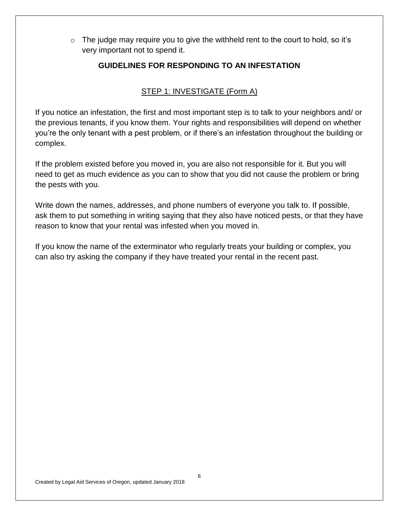$\circ$  The judge may require you to give the withheld rent to the court to hold, so it's very important not to spend it.

#### **GUIDELINES FOR RESPONDING TO AN INFESTATION**

#### STEP 1: INVESTIGATE (Form A)

If you notice an infestation, the first and most important step is to talk to your neighbors and/ or the previous tenants, if you know them. Your rights and responsibilities will depend on whether you're the only tenant with a pest problem, or if there's an infestation throughout the building or complex.

If the problem existed before you moved in, you are also not responsible for it. But you will need to get as much evidence as you can to show that you did not cause the problem or bring the pests with you.

Write down the names, addresses, and phone numbers of everyone you talk to. If possible, ask them to put something in writing saying that they also have noticed pests, or that they have reason to know that your rental was infested when you moved in.

If you know the name of the exterminator who regularly treats your building or complex, you can also try asking the company if they have treated your rental in the recent past.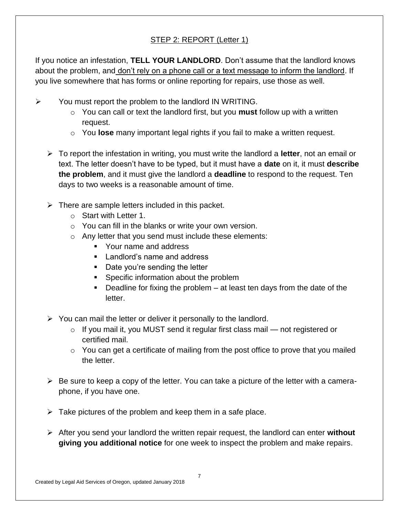#### STEP 2: REPORT (Letter 1)

If you notice an infestation, **TELL YOUR LANDLORD**. Don't assume that the landlord knows about the problem, and don't rely on a phone call or a text message to inform the landlord. If you live somewhere that has forms or online reporting for repairs, use those as well.

- $\triangleright$  You must report the problem to the landlord IN WRITING.
	- o You can call or text the landlord first, but you **must** follow up with a written request.
	- o You **lose** many important legal rights if you fail to make a written request.
	- To report the infestation in writing, you must write the landlord a **letter**, not an email or text. The letter doesn't have to be typed, but it must have a **date** on it, it must **describe the problem**, and it must give the landlord a **deadline** to respond to the request. Ten days to two weeks is a reasonable amount of time.
	- $\triangleright$  There are sample letters included in this packet.
		- o Start with Letter 1.
		- $\circ$  You can fill in the blanks or write your own version.
		- o Any letter that you send must include these elements:
			- Your name and address
			- **Landlord's name and address**
			- Date you're sending the letter
			- **Specific information about the problem**
			- $\blacksquare$  Deadline for fixing the problem at least ten days from the date of the letter.
	- $\triangleright$  You can mail the letter or deliver it personally to the landlord.
		- $\circ$  If you mail it, you MUST send it regular first class mail not registered or certified mail.
		- $\circ$  You can get a certificate of mailing from the post office to prove that you mailed the letter.
	- $\triangleright$  Be sure to keep a copy of the letter. You can take a picture of the letter with a cameraphone, if you have one.
	- $\triangleright$  Take pictures of the problem and keep them in a safe place.
	- After you send your landlord the written repair request, the landlord can enter **without giving you additional notice** for one week to inspect the problem and make repairs.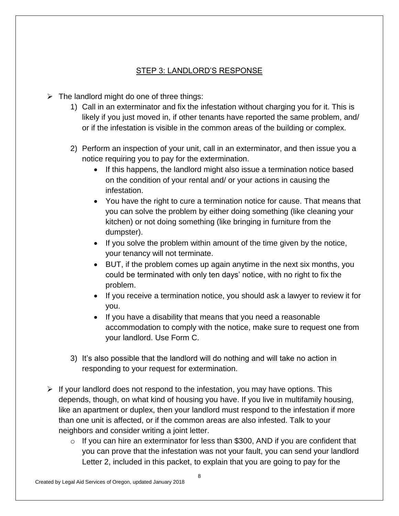#### **STEP 3: LANDLORD'S RESPONSE**

- $\triangleright$  The landlord might do one of three things:
	- 1) Call in an exterminator and fix the infestation without charging you for it. This is likely if you just moved in, if other tenants have reported the same problem, and/ or if the infestation is visible in the common areas of the building or complex.
	- 2) Perform an inspection of your unit, call in an exterminator, and then issue you a notice requiring you to pay for the extermination.
		- If this happens, the landlord might also issue a termination notice based on the condition of your rental and/ or your actions in causing the infestation.
		- You have the right to cure a termination notice for cause. That means that you can solve the problem by either doing something (like cleaning your kitchen) or not doing something (like bringing in furniture from the dumpster).
		- If you solve the problem within amount of the time given by the notice, your tenancy will not terminate.
		- BUT, if the problem comes up again anytime in the next six months, you could be terminated with only ten days' notice, with no right to fix the problem.
		- If you receive a termination notice, you should ask a lawyer to review it for you.
		- If you have a disability that means that you need a reasonable accommodation to comply with the notice, make sure to request one from your landlord. Use Form C.
	- 3) It's also possible that the landlord will do nothing and will take no action in responding to your request for extermination.
- $\triangleright$  If your landlord does not respond to the infestation, you may have options. This depends, though, on what kind of housing you have. If you live in multifamily housing, like an apartment or duplex, then your landlord must respond to the infestation if more than one unit is affected, or if the common areas are also infested. Talk to your neighbors and consider writing a joint letter.
	- $\circ$  If you can hire an exterminator for less than \$300, AND if you are confident that you can prove that the infestation was not your fault, you can send your landlord Letter 2, included in this packet, to explain that you are going to pay for the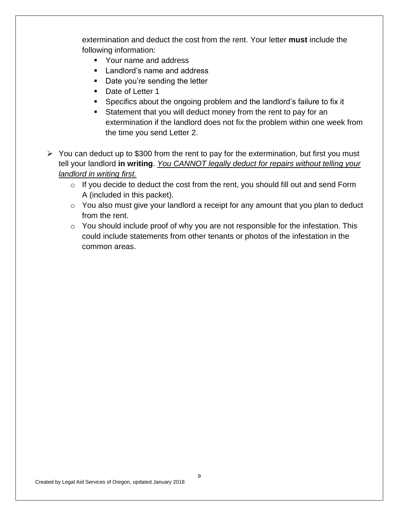extermination and deduct the cost from the rent. Your letter **must** include the following information:

- Your name and address
- $\blacksquare$  Landlord's name and address
- Date you're sending the letter
- **Date of Letter 1**
- **Specifics about the ongoing problem and the landlord's failure to fix it**
- Statement that you will deduct money from the rent to pay for an extermination if the landlord does not fix the problem within one week from the time you send Letter 2.
- $\triangleright$  You can deduct up to \$300 from the rent to pay for the extermination, but first you must tell your landlord **in writing**. *You CANNOT legally deduct for repairs without telling your landlord in writing first.*
	- $\circ$  If you decide to deduct the cost from the rent, you should fill out and send Form A (included in this packet).
	- $\circ$  You also must give your landlord a receipt for any amount that you plan to deduct from the rent.
	- o You should include proof of why you are not responsible for the infestation. This could include statements from other tenants or photos of the infestation in the common areas.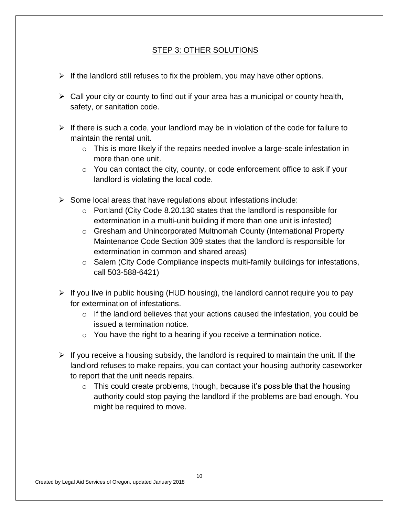#### STEP 3: OTHER SOLUTIONS

- $\triangleright$  If the landlord still refuses to fix the problem, you may have other options.
- $\triangleright$  Call your city or county to find out if your area has a municipal or county health, safety, or sanitation code.
- $\triangleright$  If there is such a code, your landlord may be in violation of the code for failure to maintain the rental unit.
	- $\circ$  This is more likely if the repairs needed involve a large-scale infestation in more than one unit.
	- $\circ$  You can contact the city, county, or code enforcement office to ask if your landlord is violating the local code.
- $\triangleright$  Some local areas that have regulations about infestations include:
	- $\circ$  Portland (City Code 8.20.130 states that the landlord is responsible for extermination in a multi-unit building if more than one unit is infested)
	- o Gresham and Unincorporated Multnomah County (International Property Maintenance Code Section 309 states that the landlord is responsible for extermination in common and shared areas)
	- o Salem (City Code Compliance inspects multi-family buildings for infestations, call 503-588-6421)
- $\triangleright$  If you live in public housing (HUD housing), the landlord cannot require you to pay for extermination of infestations.
	- $\circ$  If the landlord believes that your actions caused the infestation, you could be issued a termination notice.
	- $\circ$  You have the right to a hearing if you receive a termination notice.
- $\triangleright$  If you receive a housing subsidy, the landlord is required to maintain the unit. If the landlord refuses to make repairs, you can contact your housing authority caseworker to report that the unit needs repairs.
	- $\circ$  This could create problems, though, because it's possible that the housing authority could stop paying the landlord if the problems are bad enough. You might be required to move.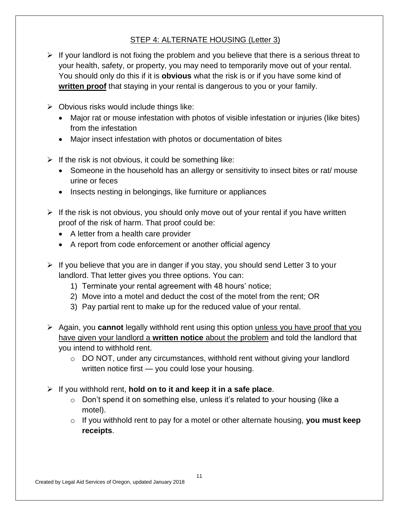#### STEP 4: ALTERNATE HOUSING (Letter 3)

- $\triangleright$  If your landlord is not fixing the problem and you believe that there is a serious threat to your health, safety, or property, you may need to temporarily move out of your rental. You should only do this if it is **obvious** what the risk is or if you have some kind of **written proof** that staying in your rental is dangerous to you or your family.
- $\triangleright$  Obvious risks would include things like:
	- Major rat or mouse infestation with photos of visible infestation or injuries (like bites) from the infestation
	- Major insect infestation with photos or documentation of bites
- $\triangleright$  If the risk is not obvious, it could be something like:
	- Someone in the household has an allergy or sensitivity to insect bites or rat/ mouse urine or feces
	- Insects nesting in belongings, like furniture or appliances
- $\triangleright$  If the risk is not obvious, you should only move out of your rental if you have written proof of the risk of harm. That proof could be:
	- A letter from a health care provider
	- A report from code enforcement or another official agency
- $\triangleright$  If you believe that you are in danger if you stay, you should send Letter 3 to your landlord. That letter gives you three options. You can:
	- 1) Terminate your rental agreement with 48 hours' notice;
	- 2) Move into a motel and deduct the cost of the motel from the rent; OR
	- 3) Pay partial rent to make up for the reduced value of your rental.
- Again, you **cannot** legally withhold rent using this option unless you have proof that you have given your landlord a **written notice** about the problem and told the landlord that you intend to withhold rent.
	- o DO NOT, under any circumstances, withhold rent without giving your landlord written notice first — you could lose your housing.
- If you withhold rent, **hold on to it and keep it in a safe place**.
	- o Don't spend it on something else, unless it's related to your housing (like a motel).
	- o If you withhold rent to pay for a motel or other alternate housing, **you must keep receipts**.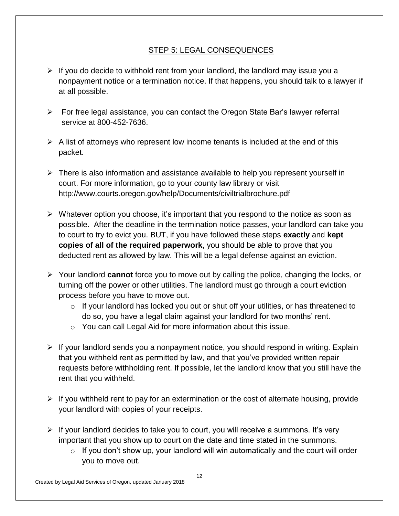#### STEP 5: LEGAL CONSEQUENCES

- $\triangleright$  If you do decide to withhold rent from your landlord, the landlord may issue you a nonpayment notice or a termination notice. If that happens, you should talk to a lawyer if at all possible.
- $\triangleright$  For free legal assistance, you can contact the Oregon State Bar's lawyer referral service at 800-452-7636.
- $\triangleright$  A list of attorneys who represent low income tenants is included at the end of this packet.
- $\triangleright$  There is also information and assistance available to help you represent yourself in court. For more information, go to your county law library or visit http://www.courts.oregon.gov/help/Documents/civiltrialbrochure.pdf
- $\triangleright$  Whatever option you choose, it's important that you respond to the notice as soon as possible. After the deadline in the termination notice passes, your landlord can take you to court to try to evict you. BUT, if you have followed these steps **exactly** and **kept copies of all of the required paperwork**, you should be able to prove that you deducted rent as allowed by law. This will be a legal defense against an eviction.
- Your landlord **cannot** force you to move out by calling the police, changing the locks, or turning off the power or other utilities. The landlord must go through a court eviction process before you have to move out.
	- o If your landlord has locked you out or shut off your utilities, or has threatened to do so, you have a legal claim against your landlord for two months' rent.
	- o You can call Legal Aid for more information about this issue.
- $\triangleright$  If your landlord sends you a nonpayment notice, you should respond in writing. Explain that you withheld rent as permitted by law, and that you've provided written repair requests before withholding rent. If possible, let the landlord know that you still have the rent that you withheld.
- $\triangleright$  If you withheld rent to pay for an extermination or the cost of alternate housing, provide your landlord with copies of your receipts.
- $\triangleright$  If your landlord decides to take you to court, you will receive a summons. It's very important that you show up to court on the date and time stated in the summons.
	- $\circ$  If you don't show up, your landlord will win automatically and the court will order you to move out.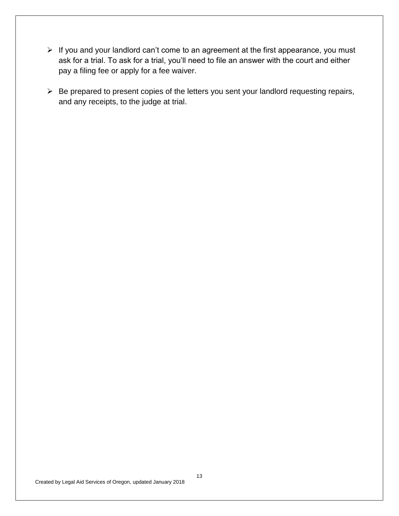- $\triangleright$  If you and your landlord can't come to an agreement at the first appearance, you must ask for a trial. To ask for a trial, you'll need to file an answer with the court and either pay a filing fee or apply for a fee waiver.
- $\triangleright$  Be prepared to present copies of the letters you sent your landlord requesting repairs, and any receipts, to the judge at trial.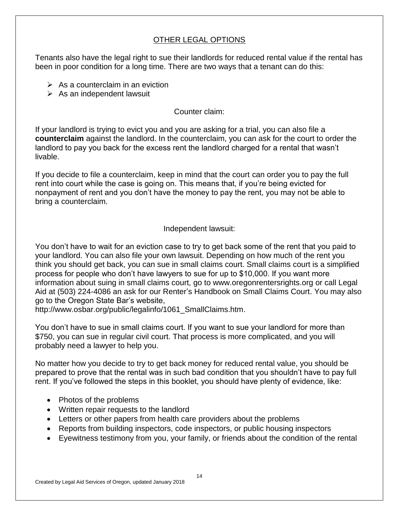#### OTHER LEGAL OPTIONS

Tenants also have the legal right to sue their landlords for reduced rental value if the rental has been in poor condition for a long time. There are two ways that a tenant can do this:

- $\triangleright$  As a counterclaim in an eviction
- $\triangleright$  As an independent lawsuit

#### Counter claim:

If your landlord is trying to evict you and you are asking for a trial, you can also file a **counterclaim** against the landlord. In the counterclaim, you can ask for the court to order the landlord to pay you back for the excess rent the landlord charged for a rental that wasn't livable.

If you decide to file a counterclaim, keep in mind that the court can order you to pay the full rent into court while the case is going on. This means that, if you're being evicted for nonpayment of rent and you don't have the money to pay the rent, you may not be able to bring a counterclaim.

Independent lawsuit:

You don't have to wait for an eviction case to try to get back some of the rent that you paid to your landlord. You can also file your own lawsuit. Depending on how much of the rent you think you should get back, you can sue in small claims court. Small claims court is a simplified process for people who don't have lawyers to sue for up to \$10,000. If you want more information about suing in small claims court, go to www.oregonrentersrights.org or call Legal Aid at (503) 224-4086 an ask for our Renter's Handbook on Small Claims Court. You may also go to the Oregon State Bar's website,

http://www.osbar.org/public/legalinfo/1061\_SmallClaims.htm.

You don't have to sue in small claims court. If you want to sue your landlord for more than \$750, you can sue in regular civil court. That process is more complicated, and you will probably need a lawyer to help you.

No matter how you decide to try to get back money for reduced rental value, you should be prepared to prove that the rental was in such bad condition that you shouldn't have to pay full rent. If you've followed the steps in this booklet, you should have plenty of evidence, like:

- Photos of the problems
- Written repair requests to the landlord
- Letters or other papers from health care providers about the problems
- Reports from building inspectors, code inspectors, or public housing inspectors
- Eyewitness testimony from you, your family, or friends about the condition of the rental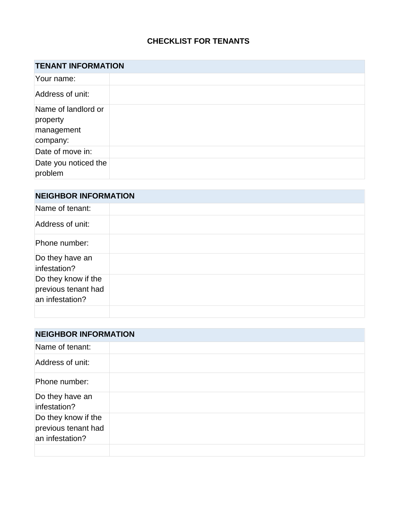### **CHECKLIST FOR TENANTS**

| <b>TENANT INFORMATION</b>                                 |  |
|-----------------------------------------------------------|--|
| Your name:                                                |  |
| Address of unit:                                          |  |
| Name of landlord or<br>property<br>management<br>company: |  |
| Date of move in:                                          |  |
| Date you noticed the<br>problem                           |  |

| <b>NEIGHBOR INFORMATION</b>                                   |  |  |
|---------------------------------------------------------------|--|--|
| Name of tenant:                                               |  |  |
| Address of unit:                                              |  |  |
| Phone number:                                                 |  |  |
| Do they have an<br>infestation?                               |  |  |
| Do they know if the<br>previous tenant had<br>an infestation? |  |  |
|                                                               |  |  |

| <b>NEIGHBOR INFORMATION</b>                                   |  |  |
|---------------------------------------------------------------|--|--|
| Name of tenant:                                               |  |  |
| Address of unit:                                              |  |  |
| Phone number:                                                 |  |  |
| Do they have an<br>infestation?                               |  |  |
| Do they know if the<br>previous tenant had<br>an infestation? |  |  |
|                                                               |  |  |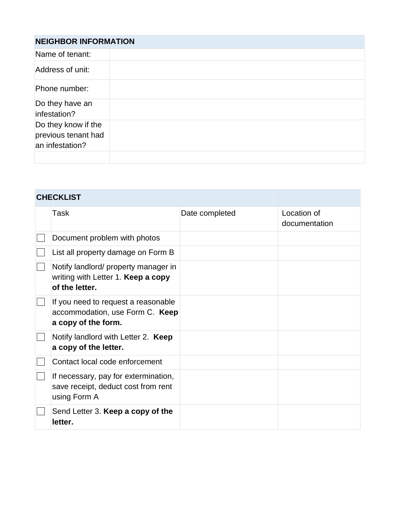| <b>NEIGHBOR INFORMATION</b>                                   |  |  |  |
|---------------------------------------------------------------|--|--|--|
| Name of tenant:                                               |  |  |  |
| Address of unit:                                              |  |  |  |
| Phone number:                                                 |  |  |  |
| Do they have an<br>infestation?                               |  |  |  |
| Do they know if the<br>previous tenant had<br>an infestation? |  |  |  |
|                                                               |  |  |  |

| <b>CHECKLIST</b>                                                                              |                |                              |  |
|-----------------------------------------------------------------------------------------------|----------------|------------------------------|--|
| Task                                                                                          | Date completed | Location of<br>documentation |  |
| Document problem with photos                                                                  |                |                              |  |
| List all property damage on Form B                                                            |                |                              |  |
| Notify landlord/ property manager in<br>writing with Letter 1. Keep a copy<br>of the letter.  |                |                              |  |
| If you need to request a reasonable<br>accommodation, use Form C. Keep<br>a copy of the form. |                |                              |  |
| Notify landlord with Letter 2. Keep<br>a copy of the letter.                                  |                |                              |  |
| Contact local code enforcement                                                                |                |                              |  |
| If necessary, pay for extermination,<br>save receipt, deduct cost from rent<br>using Form A   |                |                              |  |
| Send Letter 3. Keep a copy of the<br>letter.                                                  |                |                              |  |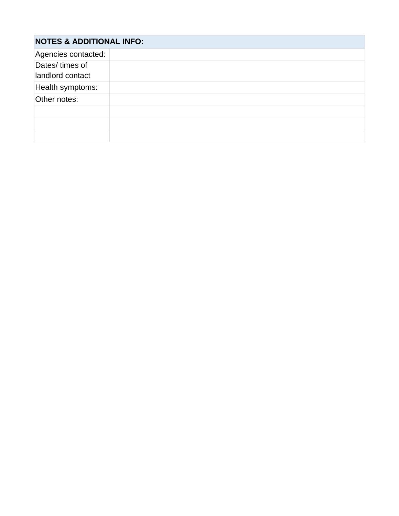| <b>NOTES &amp; ADDITIONAL INFO:</b> |  |  |  |
|-------------------------------------|--|--|--|
| Agencies contacted:                 |  |  |  |
| Dates/ times of                     |  |  |  |
| landlord contact                    |  |  |  |
| Health symptoms:                    |  |  |  |
| Other notes:                        |  |  |  |
|                                     |  |  |  |
|                                     |  |  |  |
|                                     |  |  |  |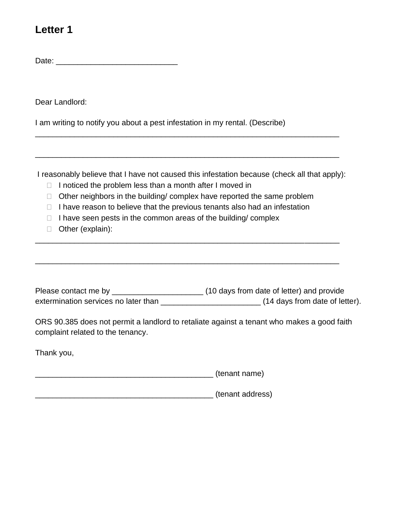## **Letter 1**

Date:

Dear Landlord:

I am writing to notify you about a pest infestation in my rental. (Describe)

I reasonably believe that I have not caused this infestation because (check all that apply):

\_\_\_\_\_\_\_\_\_\_\_\_\_\_\_\_\_\_\_\_\_\_\_\_\_\_\_\_\_\_\_\_\_\_\_\_\_\_\_\_\_\_\_\_\_\_\_\_\_\_\_\_\_\_\_\_\_\_\_\_\_\_\_\_\_\_\_\_\_\_

\_\_\_\_\_\_\_\_\_\_\_\_\_\_\_\_\_\_\_\_\_\_\_\_\_\_\_\_\_\_\_\_\_\_\_\_\_\_\_\_\_\_\_\_\_\_\_\_\_\_\_\_\_\_\_\_\_\_\_\_\_\_\_\_\_\_\_\_\_\_

- $\Box$  I noticed the problem less than a month after I moved in
- $\Box$  Other neighbors in the building/ complex have reported the same problem
- $\Box$  I have reason to believe that the previous tenants also had an infestation

\_\_\_\_\_\_\_\_\_\_\_\_\_\_\_\_\_\_\_\_\_\_\_\_\_\_\_\_\_\_\_\_\_\_\_\_\_\_\_\_\_\_\_\_\_\_\_\_\_\_\_\_\_\_\_\_\_\_\_\_\_\_\_\_\_\_\_\_\_\_

\_\_\_\_\_\_\_\_\_\_\_\_\_\_\_\_\_\_\_\_\_\_\_\_\_\_\_\_\_\_\_\_\_\_\_\_\_\_\_\_\_\_\_\_\_\_\_\_\_\_\_\_\_\_\_\_\_\_\_\_\_\_\_\_\_\_\_\_\_\_

- $\Box$  I have seen pests in the common areas of the building/ complex
- □ Other (explain):

| Please contact me by                 | (10 days from date of letter) and provide |
|--------------------------------------|-------------------------------------------|
| extermination services no later than | $(14$ days from date of letter).          |

ORS 90.385 does not permit a landlord to retaliate against a tenant who makes a good faith complaint related to the tenancy.

Thank you,

\_\_\_\_\_\_\_\_\_\_\_\_\_\_\_\_\_\_\_\_\_\_\_\_\_\_\_\_\_\_\_\_\_\_\_\_\_\_\_\_\_ (tenant name)

\_\_\_\_\_\_\_\_\_\_\_\_\_\_\_\_\_\_\_\_\_\_\_\_\_\_\_\_\_\_\_\_\_\_\_\_\_\_\_\_\_ (tenant address)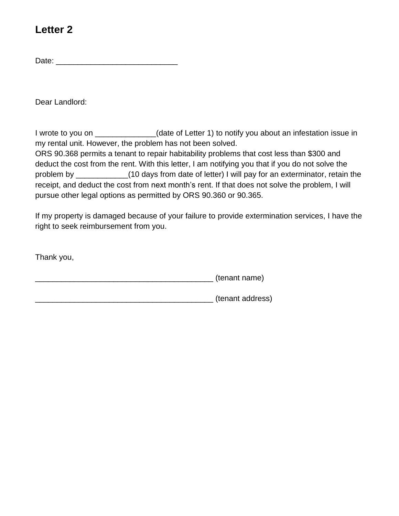## **Letter 2**

Date:

Dear Landlord:

I wrote to you on \_\_\_\_\_\_\_\_\_\_\_\_(date of Letter 1) to notify you about an infestation issue in my rental unit. However, the problem has not been solved. ORS 90.368 permits a tenant to repair habitability problems that cost less than \$300 and deduct the cost from the rent. With this letter, I am notifying you that if you do not solve the problem by \_\_\_\_\_\_\_\_\_\_\_\_(10 days from date of letter) I will pay for an exterminator, retain the receipt, and deduct the cost from next month's rent. If that does not solve the problem, I will pursue other legal options as permitted by ORS 90.360 or 90.365.

If my property is damaged because of your failure to provide extermination services, I have the right to seek reimbursement from you.

Thank you,

\_\_\_\_\_\_\_\_\_\_\_\_\_\_\_\_\_\_\_\_\_\_\_\_\_\_\_\_\_\_\_\_\_\_\_\_\_\_\_\_\_ (tenant name)

\_\_\_\_\_\_\_\_\_\_\_\_\_\_\_\_\_\_\_\_\_\_\_\_\_\_\_\_\_\_\_\_\_\_\_\_\_\_\_\_\_ (tenant address)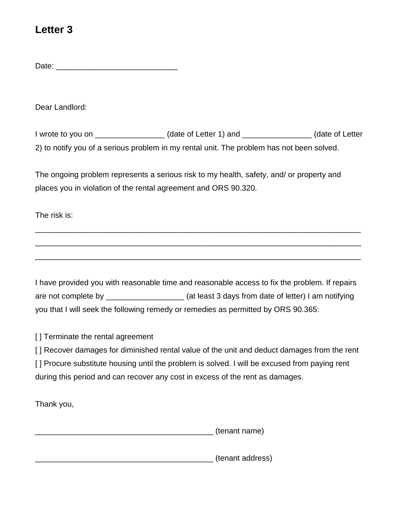## **Letter 3**

Date:

Dear Landlord:

I wrote to you on \_\_\_\_\_\_\_\_\_\_\_\_\_\_\_\_ (date of Letter 1) and \_\_\_\_\_\_\_\_\_\_\_\_\_\_\_\_ (date of Letter 2) to notify you of a serious problem in my rental unit. The problem has not been solved.

The ongoing problem represents a serious risk to my health, safety, and/ or property and places you in violation of the rental agreement and ORS 90.320.

The risk is:

I have provided you with reasonable time and reasonable access to fix the problem. If repairs are not complete by \_\_\_\_\_\_\_\_\_\_\_\_\_\_\_\_\_\_\_\_(at least 3 days from date of letter) I am notifying you that I will seek the following remedy or remedies as permitted by ORS 90.365:

\_\_\_\_\_\_\_\_\_\_\_\_\_\_\_\_\_\_\_\_\_\_\_\_\_\_\_\_\_\_\_\_\_\_\_\_\_\_\_\_\_\_\_\_\_\_\_\_\_\_\_\_\_\_\_\_\_\_\_\_\_\_\_\_\_\_\_\_\_\_\_\_\_\_\_

\_\_\_\_\_\_\_\_\_\_\_\_\_\_\_\_\_\_\_\_\_\_\_\_\_\_\_\_\_\_\_\_\_\_\_\_\_\_\_\_\_\_\_\_\_\_\_\_\_\_\_\_\_\_\_\_\_\_\_\_\_\_\_\_\_\_\_\_\_\_\_\_\_\_\_

\_\_\_\_\_\_\_\_\_\_\_\_\_\_\_\_\_\_\_\_\_\_\_\_\_\_\_\_\_\_\_\_\_\_\_\_\_\_\_\_\_\_\_\_\_\_\_\_\_\_\_\_\_\_\_\_\_\_\_\_\_\_\_\_\_\_\_\_\_\_\_\_\_\_\_

[] Terminate the rental agreement

[] Recover damages for diminished rental value of the unit and deduct damages from the rent [] Procure substitute housing until the problem is solved. I will be excused from paying rent during this period and can recover any cost in excess of the rent as damages.

Thank you,

\_\_\_\_\_\_\_\_\_\_\_\_\_\_\_\_\_\_\_\_\_\_\_\_\_\_\_\_\_\_\_\_\_\_\_\_\_\_\_\_\_ (tenant name)

\_\_\_\_\_\_\_\_\_\_\_\_\_\_\_\_\_\_\_\_\_\_\_\_\_\_\_\_\_\_\_\_\_\_\_\_\_\_\_\_\_ (tenant address)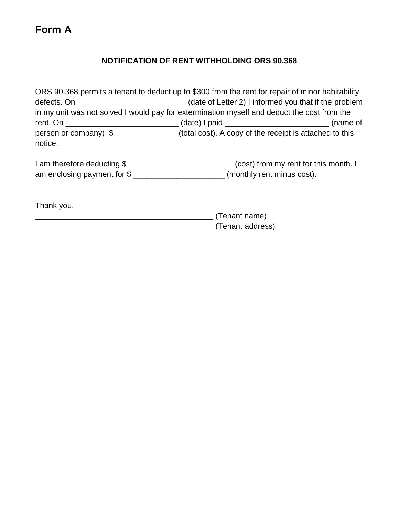#### **NOTIFICATION OF RENT WITHHOLDING ORS 90.368**

|                                                                                             | ORS 90.368 permits a tenant to deduct up to \$300 from the rent for repair of minor habitability |          |  |
|---------------------------------------------------------------------------------------------|--------------------------------------------------------------------------------------------------|----------|--|
|                                                                                             | (date of Letter 2) I informed you that if the problem                                            |          |  |
| in my unit was not solved I would pay for extermination myself and deduct the cost from the |                                                                                                  |          |  |
| rent. On ________________________                                                           |                                                                                                  | (name of |  |
| person or company) \$<br>notice.                                                            | (total cost). A copy of the receipt is attached to this                                          |          |  |

| I am therefore deducting $$$ | (cost) from my rent for this month. I |
|------------------------------|---------------------------------------|
| am enclosing payment for \$  | (monthly rent minus cost).            |

Thank you,

\_\_\_\_\_\_\_\_\_\_\_\_\_\_\_\_\_\_\_\_\_\_\_\_\_\_\_\_\_\_\_\_\_\_\_\_\_\_\_\_\_ (Tenant name) \_\_\_\_\_\_\_\_\_\_\_\_\_\_\_\_\_\_\_\_\_\_\_\_\_\_\_\_\_\_\_\_\_\_\_\_\_\_\_\_\_ (Tenant address)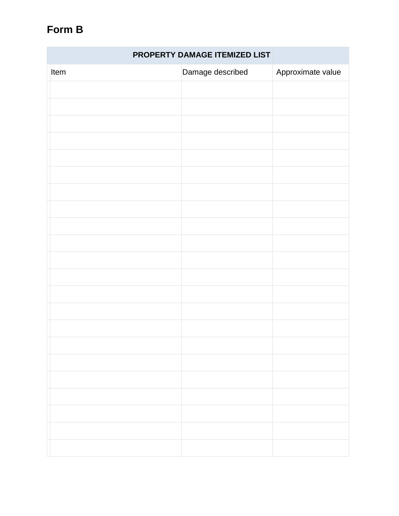# **Form B**

|      | PROPERTY DAMAGE ITEMIZED LIST |                   |
|------|-------------------------------|-------------------|
| Item | Damage described              | Approximate value |
|      |                               |                   |
|      |                               |                   |
|      |                               |                   |
|      |                               |                   |
|      |                               |                   |
|      |                               |                   |
|      |                               |                   |
|      |                               |                   |
|      |                               |                   |
|      |                               |                   |
|      |                               |                   |
|      |                               |                   |
|      |                               |                   |
|      |                               |                   |
|      |                               |                   |
|      |                               |                   |
|      |                               |                   |
|      |                               |                   |
|      |                               |                   |
|      |                               |                   |
|      |                               |                   |
|      |                               |                   |
|      |                               |                   |